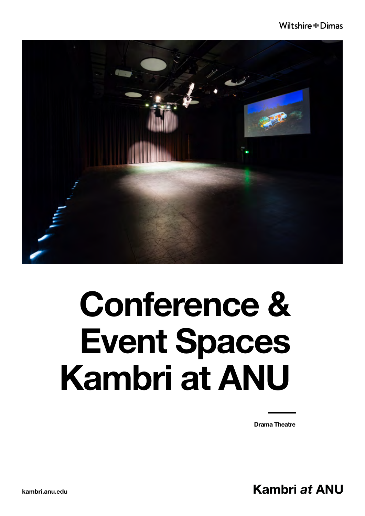

### Conference & Event Spaces Kambri at ANU

Drama Theatre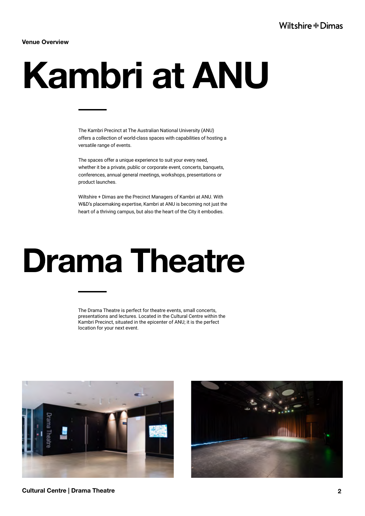Venue Overview

# Kambri at ANU

The Kambri Precinct at The Australian National University (ANU) offers a collection of world-class spaces with capabilities of hosting a versatile range of events.

The spaces offer a unique experience to suit your every need, whether it be a private, public or corporate event, concerts, banquets, conferences, annual general meetings, workshops, presentations or product launches.

Wiltshire + Dimas are the Precinct Managers of Kambri at ANU. With W&D's placemaking expertise, Kambri at ANU is becoming not just the heart of a thriving campus, but also the heart of the City it embodies.

### Drama Theatre

The Drama Theatre is perfect for theatre events, small concerts, presentations and lectures. Located in the Cultural Centre within the Kambri Precinct, situated in the epicenter of ANU; it is the perfect location for your next event.





Cultural Centre | Drama Theatre **2**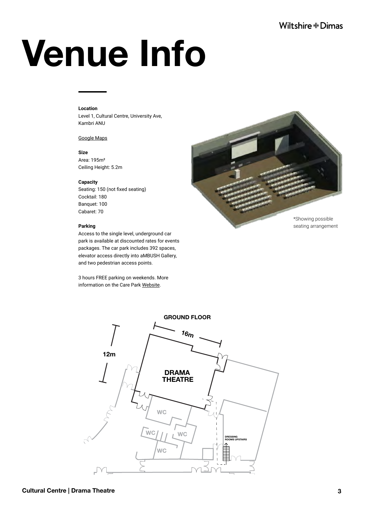# Venue Info

### **Location**

Level 1, Cultural Centre, University Ave, Kambri ANU

### [Google Maps](https://www.google.com/maps/place/Cultural+Centre+Kambri+(ANU+Building+153)/@-35.2769179,149.1217531,15z/data=!4m2!3m1!1s0x0:0x35dc37aecc1fb698?sa=X&ved=2ahUKEwi4jNOs-ProAhV24zgGHbSJDQEQ_BIwCnoECBgQCA)

**Size** Area: 195m² Ceiling Height: 5.2m

### **Capacity**

Seating: 150 (not fixed seating) Cocktail: 180 Banquet: 100 Cabaret: 70

### **Parking**

Access to the single level, underground car park is available at discounted rates for events packages. The car park includes 392 spaces, elevator access directly into aMBUSH Gallery, and two pedestrian access points.

3 hours FREE parking on weekends. More information on the Care Park [Website.](https://www.carepark.com.au/find-a-care-park/australian-national-university-kambri/)



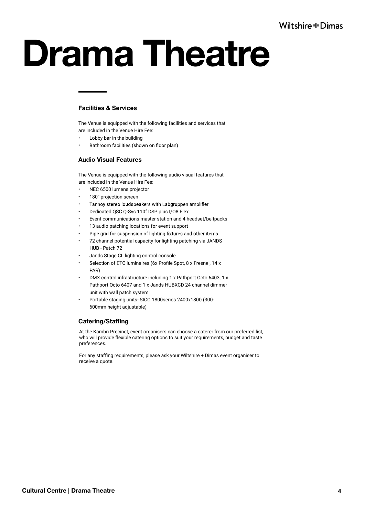## Drama Theatre

### Facilities & Services

The Venue is equipped with the following facilities and services that are included in the Venue Hire Fee:

- Lobby bar in the building
- Bathroom facilities (shown on floor plan) •

### Audio Visual Features

The Venue is equipped with the following audio visual features that are included in the Venue Hire Fee:

- NEC 6500 lumens projector
- 180" projection screen
- Tannoy stereo loudspeakers with Labgruppen amplifier •
- Dedicated QSC Q-Sys 110f DSP plus I/O8 Flex
- Event communications master station and 4 headset/beltpacks
- 13 audio patching locations for event support
- Pipe grid for suspension of lighting fixtures and other items •
- 72 channel potential capacity for lighting patching via JANDS HUB - Patch 72
- Jands Stage CL lighting control console
- Selection of ETC luminaires (6x Profile Spot, 8 x Fresnel, 14 x • PAR)
- DMX control infrastructure including 1 x Pathport Octo 6403, 1 x Pathport Octo 6407 and 1 x Jands HUBXCD 24 channel dimmer unit with wall patch system
- Portable staging units- SICO 1800series 2400x1800 (300- 600mm height adjustable)

### Catering/Staffing

At the Kambri Precinct, event organisers can choose a caterer from our preferred list, who will provide flexible catering options to suit your requirements, budget and taste preferences.

For any staffing requirements, please ask your Wiltshire + Dimas event organiser to receive a quote.